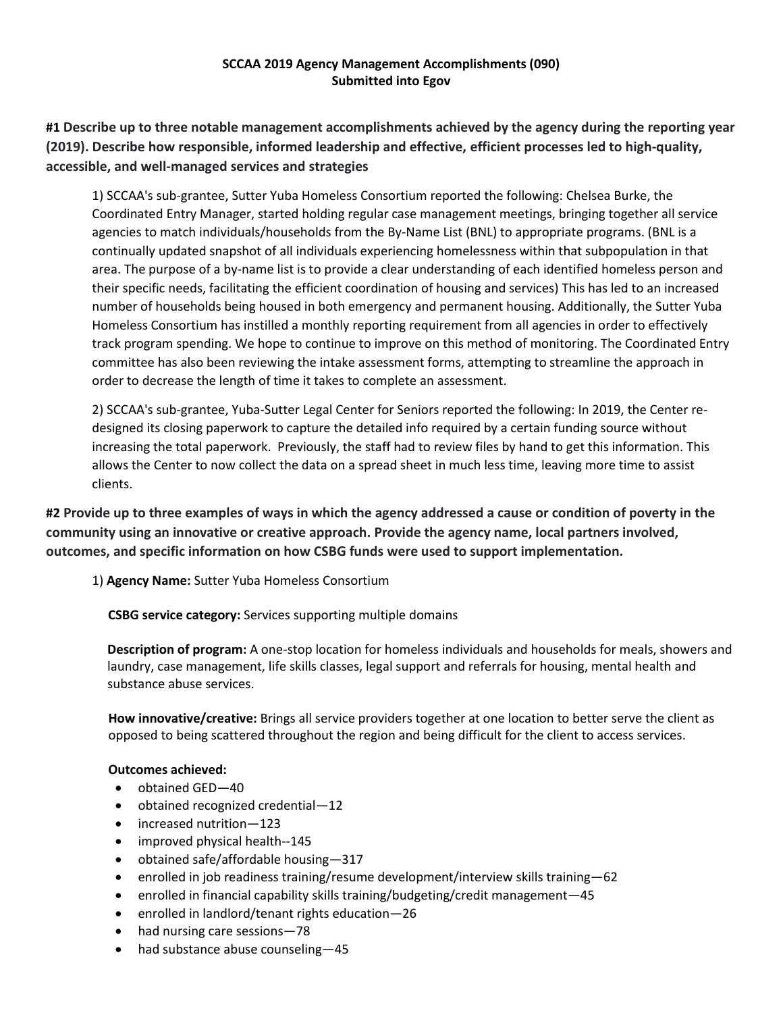# **SCCAA 2019 Agency Management Accomplishments (090) Submitted into Egov**

**#1 Describe up to three notable management accomplishments achieved by the agency during the reporting year (2019). Describe how responsible, informed leadership and effective, efficient processes led to high‐quality, accessible, and well‐managed services and strategies**

1) SCCAA's sub-grantee, Sutter Yuba Homeless Consortium reported the following: Chelsea Burke, the Coordinated Entry Manager, started holding regular case management meetings, bringing together all service agencies to match individuals/households from the By-Name List (BNL) to appropriate programs. (BNL is a continually updated snapshot of all individuals experiencing homelessness within that subpopulation in that area. The purpose of a by-name list is to provide a clear understanding of each identified homeless person and their specific needs, facilitating the efficient coordination of housing and services) This has led to an increased number of households being housed in both emergency and permanent housing. Additionally, the Sutter Yuba Homeless Consortium has instilled a monthly reporting requirement from all agencies in order to effectively track program spending. We hope to continue to improve on this method of monitoring. The Coordinated Entry committee has also been reviewing the intake assessment forms, attempting to streamline the approach in order to decrease the length of time it takes to complete an assessment.

2) SCCAA's sub-grantee, Yuba-Sutter Legal Center for Seniors reported the following: In 2019, the Center redesigned its closing paperwork to capture the detailed info required by a certain funding source without increasing the total paperwork. Previously, the staff had to review files by hand to get this information. This allows the Center to now collect the data on a spread sheet in much less time, leaving more time to assist clients.

**#2 Provide up to three examples of ways in which the agency addressed a cause or condition of poverty in the community using an innovative or creative approach. Provide the agency name, local partners involved, outcomes, and specific information on how CSBG funds were used to support implementation.**

1) **Agency Name:** Sutter Yuba Homeless Consortium

 **CSBG service category:** Services supporting multiple domains

**Description of program:** A one-stop location for homeless individuals and households for meals, showers and laundry, case management, life skills classes, legal support and referrals for housing, mental health and substance abuse services.

**How innovative/creative:** Brings all service providers together at one location to better serve the client as opposed to being scattered throughout the region and being difficult for the client to access services.

# **Outcomes achieved:**

- obtained GED-40
- obtained recognized credential—12
- increased nutrition-123
- improved physical health--145
- obtained safe/affordable housing-317
- **e** enrolled in job readiness training/resume development/interview skills training  $-62$
- enrolled in financial capability skills training/budgeting/credit management—45
- enrolled in landlord/tenant rights education—26
- had nursing care sessions-78
- had substance abuse counseling-45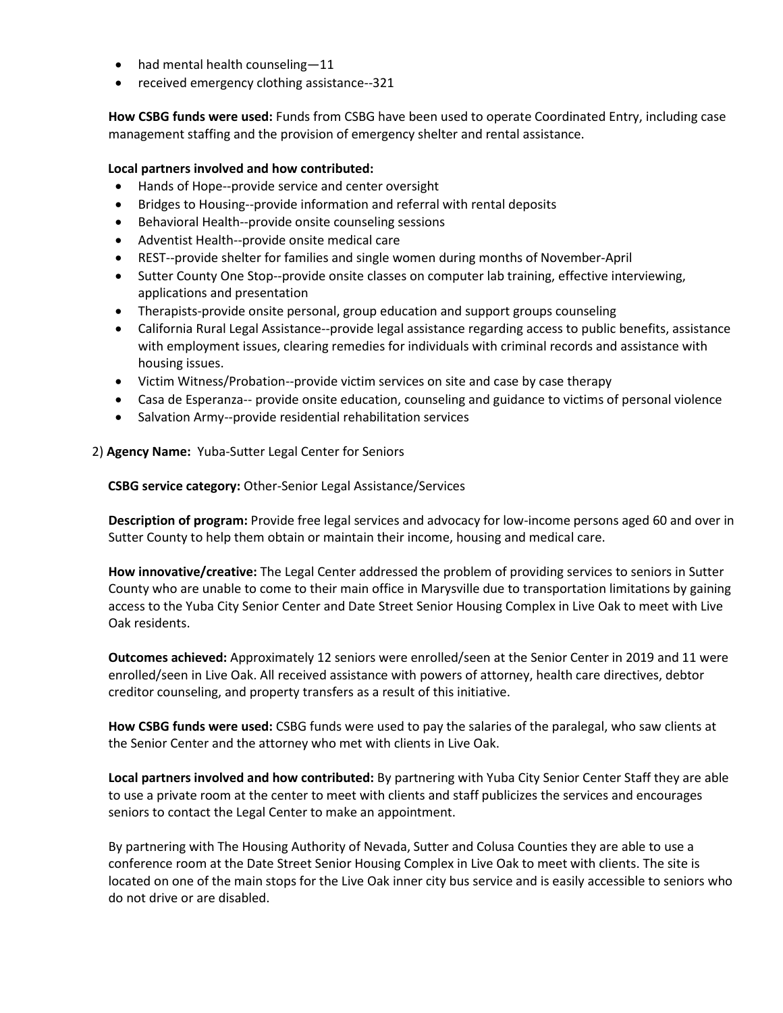- had mental health counseling-11
- received emergency clothing assistance--321

**How CSBG funds were used:** Funds from CSBG have been used to operate Coordinated Entry, including case management staffing and the provision of emergency shelter and rental assistance.

# **Local partners involved and how contributed:**

- Hands of Hope--provide service and center oversight
- Bridges to Housing--provide information and referral with rental deposits
- Behavioral Health--provide onsite counseling sessions
- Adventist Health--provide onsite medical care
- REST--provide shelter for families and single women during months of November-April
- Sutter County One Stop--provide onsite classes on computer lab training, effective interviewing, applications and presentation
- Therapists-provide onsite personal, group education and support groups counseling
- California Rural Legal Assistance--provide legal assistance regarding access to public benefits, assistance with employment issues, clearing remedies for individuals with criminal records and assistance with housing issues.
- Victim Witness/Probation--provide victim services on site and case by case therapy
- Casa de Esperanza-- provide onsite education, counseling and guidance to victims of personal violence
- Salvation Army--provide residential rehabilitation services

2) **Agency Name:** Yuba-Sutter Legal Center for Seniors

 **CSBG service category:** Other-Senior Legal Assistance/Services

**Description of program:** Provide free legal services and advocacy for low-income persons aged 60 and over in Sutter County to help them obtain or maintain their income, housing and medical care.

**How innovative/creative:** The Legal Center addressed the problem of providing services to seniors in Sutter County who are unable to come to their main office in Marysville due to transportation limitations by gaining access to the Yuba City Senior Center and Date Street Senior Housing Complex in Live Oak to meet with Live Oak residents.

**Outcomes achieved:** Approximately 12 seniors were enrolled/seen at the Senior Center in 2019 and 11 were enrolled/seen in Live Oak. All received assistance with powers of attorney, health care directives, debtor creditor counseling, and property transfers as a result of this initiative.

**How CSBG funds were used:** CSBG funds were used to pay the salaries of the paralegal, who saw clients at the Senior Center and the attorney who met with clients in Live Oak.

**Local partners involved and how contributed:** By partnering with Yuba City Senior Center Staff they are able to use a private room at the center to meet with clients and staff publicizes the services and encourages seniors to contact the Legal Center to make an appointment.

By partnering with The Housing Authority of Nevada, Sutter and Colusa Counties they are able to use a conference room at the Date Street Senior Housing Complex in Live Oak to meet with clients. The site is located on one of the main stops for the Live Oak inner city bus service and is easily accessible to seniors who do not drive or are disabled.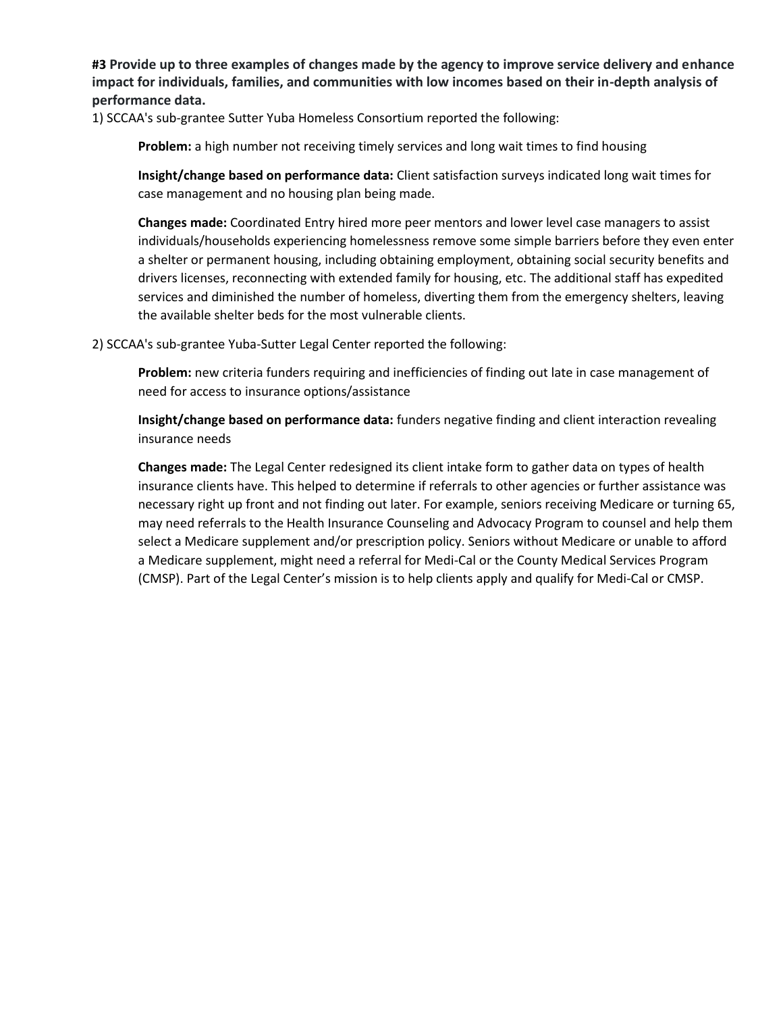**#3 Provide up to three examples of changes made by the agency to improve service delivery and enhance impact for individuals, families, and communities with low incomes based on their in-depth analysis of performance data.**

1) SCCAA's sub-grantee Sutter Yuba Homeless Consortium reported the following:

**Problem:** a high number not receiving timely services and long wait times to find housing

**Insight/change based on performance data:** Client satisfaction surveys indicated long wait times for case management and no housing plan being made.

**Changes made:** Coordinated Entry hired more peer mentors and lower level case managers to assist individuals/households experiencing homelessness remove some simple barriers before they even enter a shelter or permanent housing, including obtaining employment, obtaining social security benefits and drivers licenses, reconnecting with extended family for housing, etc. The additional staff has expedited services and diminished the number of homeless, diverting them from the emergency shelters, leaving the available shelter beds for the most vulnerable clients.

2) SCCAA's sub-grantee Yuba-Sutter Legal Center reported the following:

**Problem:** new criteria funders requiring and inefficiencies of finding out late in case management of need for access to insurance options/assistance

**Insight/change based on performance data:** funders negative finding and client interaction revealing insurance needs

**Changes made:** The Legal Center redesigned its client intake form to gather data on types of health insurance clients have. This helped to determine if referrals to other agencies or further assistance was necessary right up front and not finding out later. For example, seniors receiving Medicare or turning 65, may need referrals to the Health Insurance Counseling and Advocacy Program to counsel and help them select a Medicare supplement and/or prescription policy. Seniors without Medicare or unable to afford a Medicare supplement, might need a referral for Medi-Cal or the County Medical Services Program (CMSP). Part of the Legal Center's mission is to help clients apply and qualify for Medi-Cal or CMSP.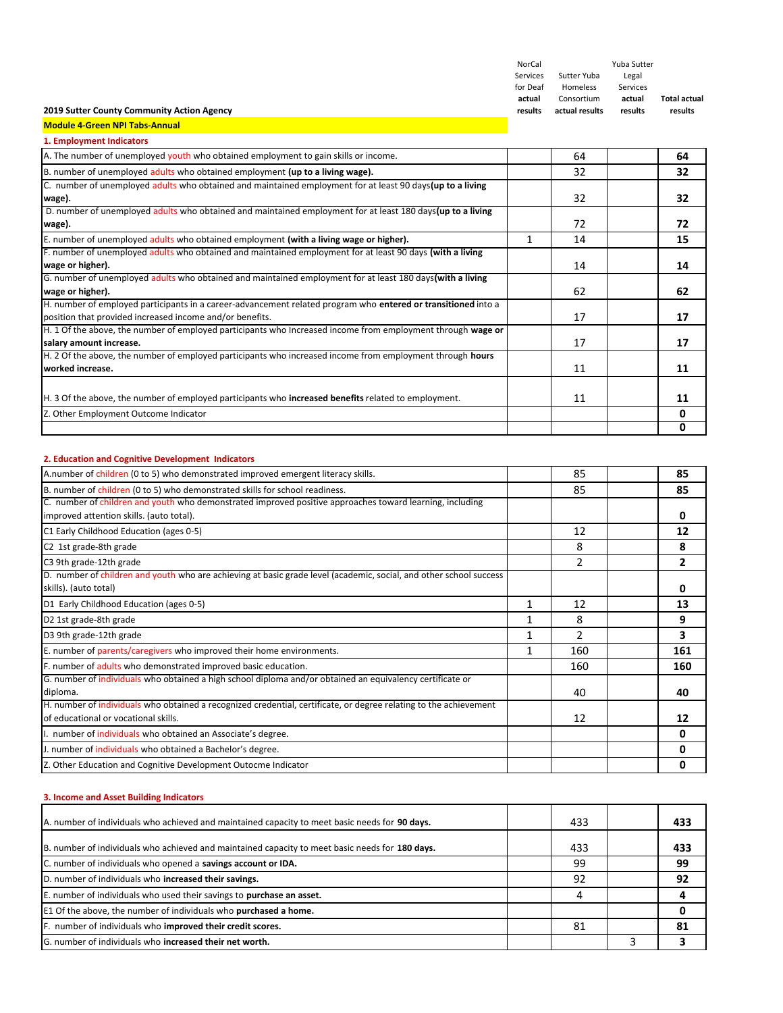| NorCal   |                | Yuba Sutter |                     |
|----------|----------------|-------------|---------------------|
| Services | Sutter Yuba    | Legal       |                     |
| for Deaf | Homeless       | Services    |                     |
| actual   | Consortium     | actual      | <b>Total actual</b> |
| results  | actual results | results     | results             |

٦

#### **2019 Sutter County Community Action Agency**

**Module 4‐Green NPI Tabs‐Annual 1. Employment Indicate** 

| <b>1. Employment indicators</b>                                                                               |    |    |
|---------------------------------------------------------------------------------------------------------------|----|----|
| A. The number of unemployed youth who obtained employment to gain skills or income.                           | 64 | 64 |
| B. number of unemployed adults who obtained employment (up to a living wage).                                 | 32 | 32 |
| C. number of unemployed adults who obtained and maintained employment for at least 90 days (up to a living    |    |    |
| wage).                                                                                                        | 32 | 32 |
| D. number of unemployed adults who obtained and maintained employment for at least 180 days (up to a living   |    |    |
| wage).                                                                                                        | 72 | 72 |
| E. number of unemployed adults who obtained employment (with a living wage or higher).                        | 14 | 15 |
| F. number of unemployed adults who obtained and maintained employment for at least 90 days (with a living     |    |    |
| wage or higher).                                                                                              | 14 | 14 |
| G. number of unemployed adults who obtained and maintained employment for at least 180 days (with a living    |    |    |
| wage or higher).                                                                                              | 62 | 62 |
| H. number of employed participants in a career-advancement related program who entered or transitioned into a |    |    |
| position that provided increased income and/or benefits.                                                      | 17 | 17 |
| H. 1 Of the above, the number of employed participants who Increased income from employment through wage or   |    |    |
| salary amount increase.                                                                                       | 17 | 17 |
| H. 2 Of the above, the number of employed participants who increased income from employment through hours     |    |    |
| worked increase.                                                                                              | 11 | 11 |
|                                                                                                               |    |    |
| H. 3 Of the above, the number of employed participants who increased benefits related to employment.          | 11 | 11 |
| Z. Other Employment Outcome Indicator                                                                         |    | 0  |
|                                                                                                               |    | 0  |

## **2. Education and Cognitive Development Indicators**

| A.number of children (0 to 5) who demonstrated improved emergent literacy skills.                                                                         |              | 85  | 85  |
|-----------------------------------------------------------------------------------------------------------------------------------------------------------|--------------|-----|-----|
| B. number of children (0 to 5) who demonstrated skills for school readiness.                                                                              |              | 85  | 85  |
| C. number of children and youth who demonstrated improved positive approaches toward learning, including<br>improved attention skills. (auto total).      |              |     | 0   |
| C1 Early Childhood Education (ages 0-5)                                                                                                                   |              | 12  | 12  |
| C2 1st grade-8th grade                                                                                                                                    |              | 8   | 8   |
| C3 9th grade-12th grade                                                                                                                                   |              | 2   | 2   |
| D. number of children and youth who are achieving at basic grade level (academic, social, and other school success<br>skills). (auto total)               |              |     | o   |
| D1 Early Childhood Education (ages 0-5)                                                                                                                   |              | 12  | 13  |
| D2 1st grade-8th grade                                                                                                                                    |              | 8   | 9   |
| D3 9th grade-12th grade                                                                                                                                   |              | 2   | 3   |
| E. number of parents/caregivers who improved their home environments.                                                                                     | $\mathbf{1}$ | 160 | 161 |
| F. number of adults who demonstrated improved basic education.                                                                                            |              | 160 | 160 |
| G. number of individuals who obtained a high school diploma and/or obtained an equivalency certificate or<br>diploma.                                     |              | 40  | 40  |
| H. number of individuals who obtained a recognized credential, certificate, or degree relating to the achievement<br>of educational or vocational skills. |              | 12  | 12  |
| I. number of individuals who obtained an Associate's degree.                                                                                              |              |     | n   |
| J. number of individuals who obtained a Bachelor's degree.                                                                                                |              |     | n   |
| Z. Other Education and Cognitive Development Outocme Indicator                                                                                            |              |     | 0   |

# **3. Income and Asset Building Indicators**

| A. number of individuals who achieved and maintained capacity to meet basic needs for 90 days.  | 433 | 433 |
|-------------------------------------------------------------------------------------------------|-----|-----|
| B. number of individuals who achieved and maintained capacity to meet basic needs for 180 days. | 433 | 433 |
| C. number of individuals who opened a savings account or IDA.                                   | -99 | 99  |
| D. number of individuals who increased their savings.                                           | 92  | 92  |
| E. number of individuals who used their savings to purchase an asset.                           | 4   |     |
| E1 Of the above, the number of individuals who purchased a home.                                |     |     |
| F. number of individuals who improved their credit scores.                                      | 81  | 81  |
| G. number of individuals who increased their net worth.                                         |     |     |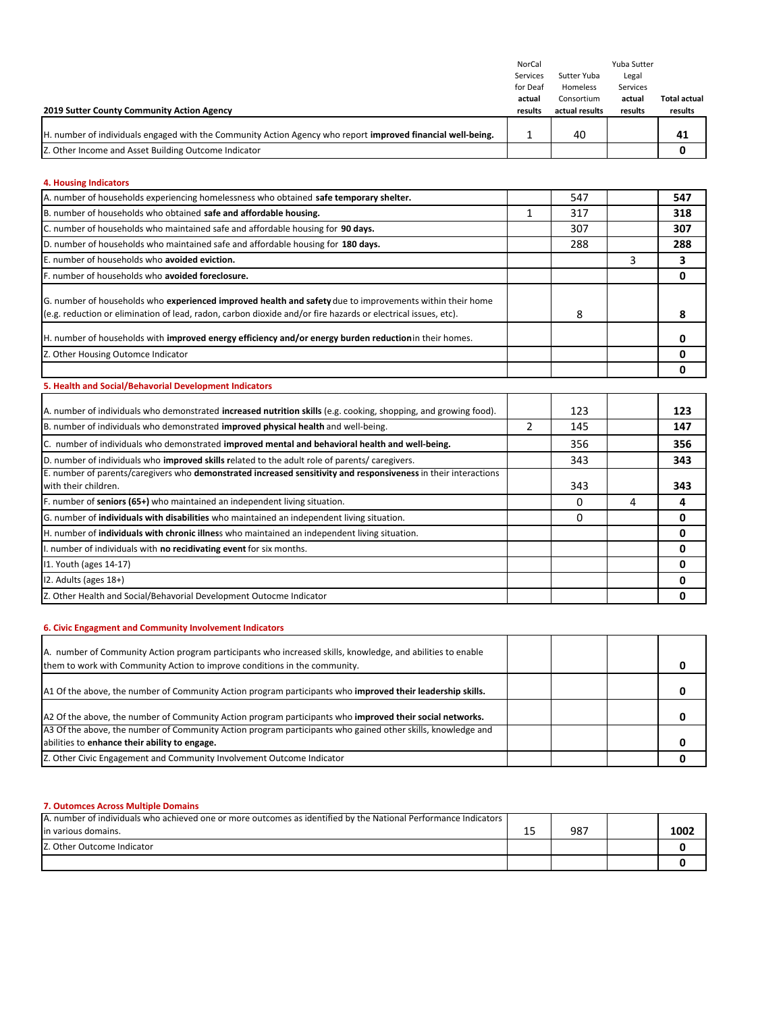|                                                                                                             | NorCal   |                | Yuba Sutter |              |
|-------------------------------------------------------------------------------------------------------------|----------|----------------|-------------|--------------|
|                                                                                                             | Services | Sutter Yuba    | Legal       |              |
|                                                                                                             | for Deaf | Homeless       | Services    |              |
|                                                                                                             | actual   | Consortium     | actual      | Total actual |
| 2019 Sutter County Community Action Agency                                                                  | results  | actual results | results     | results      |
|                                                                                                             |          |                |             |              |
| H. number of individuals engaged with the Community Action Agency who report improved financial well-being. |          | 40             |             | 41           |
| Z. Other Income and Asset Building Outcome Indicator                                                        |          |                |             |              |

#### **4. Housing Indicators**

| A. number of households experiencing homelessness who obtained safe temporary shelter.                                                                                                                                    |                | 547 |   | 547 |
|---------------------------------------------------------------------------------------------------------------------------------------------------------------------------------------------------------------------------|----------------|-----|---|-----|
| B. number of households who obtained safe and affordable housing.                                                                                                                                                         | 1              | 317 |   | 318 |
| C. number of households who maintained safe and affordable housing for 90 days.                                                                                                                                           |                | 307 |   | 307 |
| D. number of households who maintained safe and affordable housing for 180 days.                                                                                                                                          |                | 288 |   | 288 |
| E. number of households who avoided eviction.                                                                                                                                                                             |                |     | 3 | 3   |
| F. number of households who avoided foreclosure.                                                                                                                                                                          |                |     |   | 0   |
| G. number of households who experienced improved health and safety due to improvements within their home<br>(e.g. reduction or elimination of lead, radon, carbon dioxide and/or fire hazards or electrical issues, etc). |                | 8   |   | 8   |
| H. number of households with improved energy efficiency and/or energy burden reduction in their homes.                                                                                                                    |                |     |   | 0   |
| Z. Other Housing Outomce Indicator                                                                                                                                                                                        |                |     |   | 0   |
|                                                                                                                                                                                                                           |                |     |   | 0   |
| 5. Health and Social/Behavorial Development Indicators                                                                                                                                                                    |                |     |   |     |
| A. number of individuals who demonstrated increased nutrition skills (e.g. cooking, shopping, and growing food).                                                                                                          |                | 123 |   | 123 |
| B. number of individuals who demonstrated improved physical health and well-being.                                                                                                                                        | $\overline{2}$ | 145 |   | 147 |
| C. number of individuals who demonstrated improved mental and behavioral health and well-being.                                                                                                                           |                | 356 |   | 356 |
| D. number of individuals who improved skills related to the adult role of parents/ caregivers.                                                                                                                            |                | 343 |   | 343 |
| E. number of parents/caregivers who demonstrated increased sensitivity and responsiveness in their interactions<br>with their children.                                                                                   |                | 343 |   | 343 |
| F. number of seniors (65+) who maintained an independent living situation.                                                                                                                                                |                | 0   | 4 | 4   |
| G. number of individuals with disabilities who maintained an independent living situation.                                                                                                                                |                | 0   |   | 0   |
| H. number of individuals with chronic illness who maintained an independent living situation.                                                                                                                             |                |     |   | 0   |
| I. number of individuals with no recidivating event for six months.                                                                                                                                                       |                |     |   | 0   |
| 11. Youth (ages 14-17)                                                                                                                                                                                                    |                |     |   | 0   |
| 12. Adults (ages 18+)                                                                                                                                                                                                     |                |     |   | 0   |
| Z. Other Health and Social/Behavorial Development Outocme Indicator                                                                                                                                                       |                |     |   | 0   |
|                                                                                                                                                                                                                           |                |     |   |     |

# **6. Civic Engagment and Community Involvement Indicators**

| A. number of Community Action program participants who increased skills, knowledge, and abilities to enable<br>them to work with Community Action to improve conditions in the community. |  |  |
|-------------------------------------------------------------------------------------------------------------------------------------------------------------------------------------------|--|--|
| A1 Of the above, the number of Community Action program participants who improved their leadership skills.                                                                                |  |  |
| A2 Of the above, the number of Community Action program participants who improved their social networks.                                                                                  |  |  |
| A3 Of the above, the number of Community Action program participants who gained other skills, knowledge and<br>abilities to enhance their ability to engage.                              |  |  |
| Z. Other Civic Engagement and Community Involvement Outcome Indicator                                                                                                                     |  |  |

#### **7. Outomces Across Multiple Domains**

| A. number of individuals who achieved one or more outcomes as identified by the National Performance Indicators |    |     |      |
|-----------------------------------------------------------------------------------------------------------------|----|-----|------|
| lin various domains.                                                                                            | -- | 987 | 1002 |
| Z. Other Outcome Indicator                                                                                      |    |     |      |
|                                                                                                                 |    |     |      |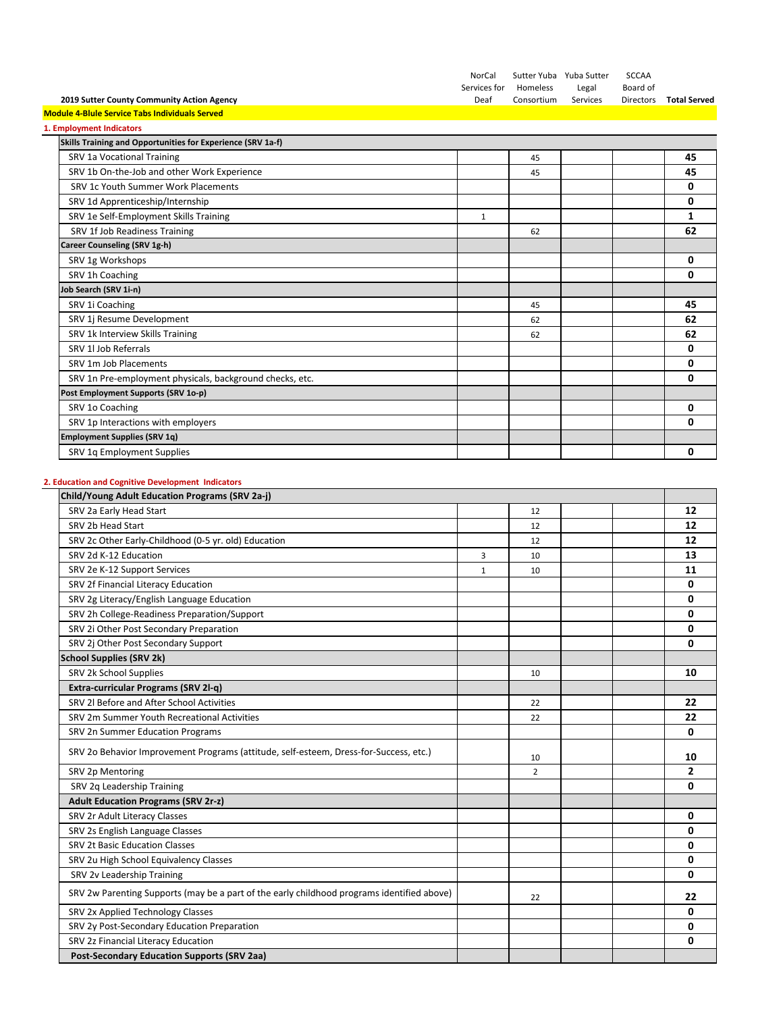|                                                             | NorCal       |            | Sutter Yuba Yuba Sutter | <b>SCCAA</b>     |                     |
|-------------------------------------------------------------|--------------|------------|-------------------------|------------------|---------------------|
|                                                             | Services for | Homeless   | Legal                   | Board of         |                     |
| 2019 Sutter County Community Action Agency                  | Deaf         | Consortium | Services                | <b>Directors</b> | <b>Total Served</b> |
| <b>Module 4-Blule Service Tabs Individuals Served</b>       |              |            |                         |                  |                     |
| 1. Employment Indicators                                    |              |            |                         |                  |                     |
| Skills Training and Opportunities for Experience (SRV 1a-f) |              |            |                         |                  |                     |
| SRV 1a Vocational Training                                  |              | 45         |                         |                  | 45                  |
| SRV 1b On-the-Job and other Work Experience                 |              | 45         |                         |                  | 45                  |
| SRV 1c Youth Summer Work Placements                         |              |            |                         |                  | 0                   |
| SRV 1d Apprenticeship/Internship                            |              |            |                         |                  | 0                   |
| SRV 1e Self-Employment Skills Training                      | 1            |            |                         |                  | 1                   |
| SRV 1f Job Readiness Training                               |              | 62         |                         |                  | 62                  |
| Career Counseling (SRV 1g-h)                                |              |            |                         |                  |                     |
| SRV 1g Workshops                                            |              |            |                         |                  | 0                   |
| SRV 1h Coaching                                             |              |            |                         |                  | 0                   |
| Job Search (SRV 1i-n)                                       |              |            |                         |                  |                     |
| SRV 1i Coaching                                             |              | 45         |                         |                  | 45                  |
| SRV 1j Resume Development                                   |              | 62         |                         |                  | 62                  |
| SRV 1k Interview Skills Training                            |              | 62         |                         |                  | 62                  |
| SRV 1l Job Referrals                                        |              |            |                         |                  | 0                   |
| SRV 1m Job Placements                                       |              |            |                         |                  | 0                   |
| SRV 1n Pre-employment physicals, background checks, etc.    |              |            |                         |                  | 0                   |
| Post Employment Supports (SRV 1o-p)                         |              |            |                         |                  |                     |
| SRV 1o Coaching                                             |              |            |                         |                  | 0                   |
| SRV 1p Interactions with employers                          |              |            |                         |                  | 0                   |
| <b>Employment Supplies (SRV 1g)</b>                         |              |            |                         |                  |                     |
| SRV 1q Employment Supplies                                  |              |            |                         |                  | 0                   |

# **2. Education and Cognitive Development Indicators**

| Child/Young Adult Education Programs (SRV 2a-i)                                            |   |                |                |
|--------------------------------------------------------------------------------------------|---|----------------|----------------|
| SRV 2a Early Head Start                                                                    |   | 12             | 12             |
| SRV 2b Head Start                                                                          |   | 12             | 12             |
| SRV 2c Other Early-Childhood (0-5 yr. old) Education                                       |   | 12             | 12             |
| SRV 2d K-12 Education                                                                      | 3 | 10             | 13             |
| SRV 2e K-12 Support Services                                                               | 1 | 10             | 11             |
| SRV 2f Financial Literacy Education                                                        |   |                | 0              |
| SRV 2g Literacy/English Language Education                                                 |   |                | 0              |
| SRV 2h College-Readiness Preparation/Support                                               |   |                | 0              |
| SRV 2i Other Post Secondary Preparation                                                    |   |                | 0              |
| SRV 2j Other Post Secondary Support                                                        |   |                | 0              |
| <b>School Supplies (SRV 2k)</b>                                                            |   |                |                |
| SRV 2k School Supplies                                                                     |   | 10             | 10             |
| Extra-curricular Programs (SRV 2l-q)                                                       |   |                |                |
| SRV 2l Before and After School Activities                                                  |   | 22             | 22             |
| SRV 2m Summer Youth Recreational Activities                                                |   | 22             | 22             |
| SRV 2n Summer Education Programs                                                           |   |                | 0              |
| SRV 2o Behavior Improvement Programs (attitude, self-esteem, Dress-for-Success, etc.)      |   | 10             | 10             |
| SRV 2p Mentoring                                                                           |   | $\overline{2}$ | $\overline{2}$ |
| SRV 2q Leadership Training                                                                 |   |                | 0              |
| <b>Adult Education Programs (SRV 2r-z)</b>                                                 |   |                |                |
| SRV 2r Adult Literacy Classes                                                              |   |                | 0              |
| SRV 2s English Language Classes                                                            |   |                | 0              |
| <b>SRV 2t Basic Education Classes</b>                                                      |   |                | 0              |
| SRV 2u High School Equivalency Classes                                                     |   |                | 0              |
| SRV 2v Leadership Training                                                                 |   |                | 0              |
| SRV 2w Parenting Supports (may be a part of the early childhood programs identified above) |   | 22             | 22             |
| SRV 2x Applied Technology Classes                                                          |   |                | 0              |
| SRV 2y Post-Secondary Education Preparation                                                |   |                | 0              |
| SRV 2z Financial Literacy Education                                                        |   |                | $\Omega$       |
| <b>Post-Secondary Education Supports (SRV 2aa)</b>                                         |   |                |                |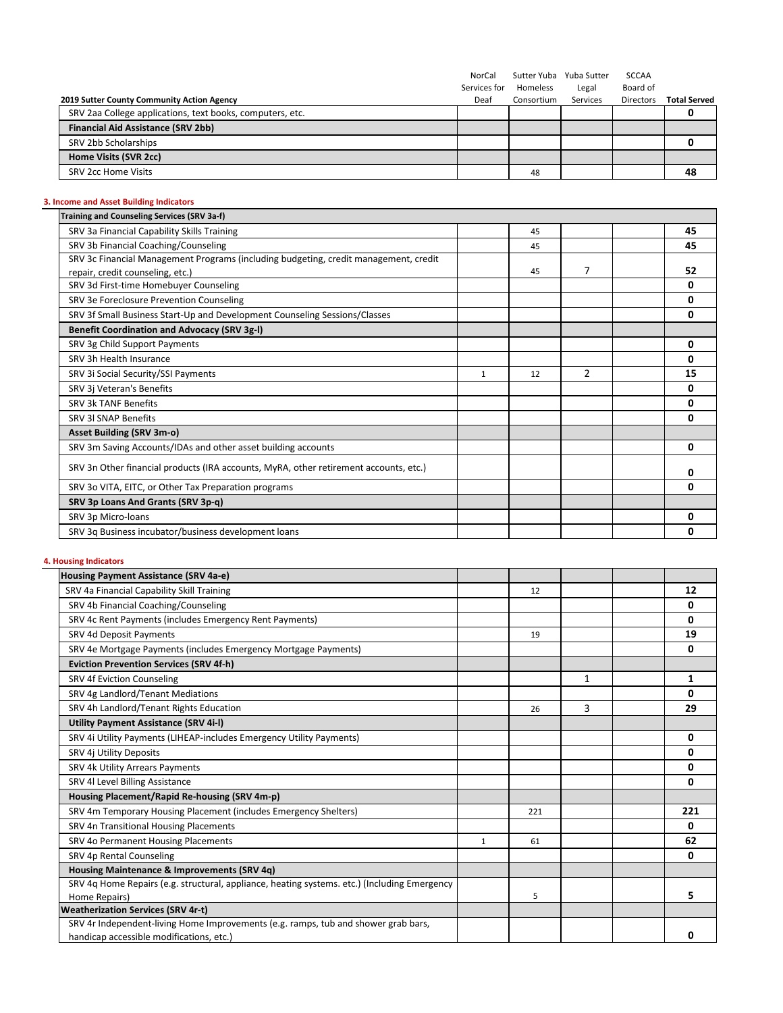|                                                           | NorCal       | Sutter Yuba | Yuba Sutter | <b>SCCAA</b>     |                     |
|-----------------------------------------------------------|--------------|-------------|-------------|------------------|---------------------|
|                                                           | Services for | Homeless    | Legal       | Board of         |                     |
| 2019 Sutter County Community Action Agency                | Deaf         | Consortium  | Services    | <b>Directors</b> | <b>Total Served</b> |
| SRV 2aa College applications, text books, computers, etc. |              |             |             |                  |                     |
| <b>Financial Aid Assistance (SRV 2bb)</b>                 |              |             |             |                  |                     |
| SRV 2bb Scholarships                                      |              |             |             |                  |                     |
| Home Visits (SVR 2cc)                                     |              |             |             |                  |                     |
| <b>SRV 2cc Home Visits</b>                                |              | 48          |             |                  | 48                  |

# **3. Income and Asset Building Indicators**

| <b>Training and Counseling Services (SRV 3a-f)</b>                                    |   |    |                |    |
|---------------------------------------------------------------------------------------|---|----|----------------|----|
| SRV 3a Financial Capability Skills Training                                           |   | 45 |                | 45 |
| SRV 3b Financial Coaching/Counseling                                                  |   | 45 |                | 45 |
| SRV 3c Financial Management Programs (including budgeting, credit management, credit  |   |    |                |    |
| repair, credit counseling, etc.)                                                      |   | 45 | $\overline{7}$ | 52 |
| SRV 3d First-time Homebuyer Counseling                                                |   |    |                | 0  |
| SRV 3e Foreclosure Prevention Counseling                                              |   |    |                | 0  |
| SRV 3f Small Business Start-Up and Development Counseling Sessions/Classes            |   |    |                | 0  |
| <b>Benefit Coordination and Advocacy (SRV 3g-I)</b>                                   |   |    |                |    |
| SRV 3g Child Support Payments                                                         |   |    |                | 0  |
| SRV 3h Health Insurance                                                               |   |    |                | 0  |
| SRV 3i Social Security/SSI Payments                                                   | 1 | 12 | 2              | 15 |
| SRV 3j Veteran's Benefits                                                             |   |    |                | 0  |
| <b>SRV 3k TANF Benefits</b>                                                           |   |    |                | 0  |
| <b>SRV 3I SNAP Benefits</b>                                                           |   |    |                | 0  |
| Asset Building (SRV 3m-o)                                                             |   |    |                |    |
| SRV 3m Saving Accounts/IDAs and other asset building accounts                         |   |    |                | 0  |
| SRV 3n Other financial products (IRA accounts, MyRA, other retirement accounts, etc.) |   |    |                | 0  |
| SRV 3o VITA, EITC, or Other Tax Preparation programs                                  |   |    |                | 0  |
| SRV 3p Loans And Grants (SRV 3p-q)                                                    |   |    |                |    |
| SRV 3p Micro-loans                                                                    |   |    |                | 0  |
| SRV 3g Business incubator/business development loans                                  |   |    |                | 0  |

# **4. Housing Indicators**

| Housing Payment Assistance (SRV 4a-e)                                                        |   |     |   |     |
|----------------------------------------------------------------------------------------------|---|-----|---|-----|
| SRV 4a Financial Capability Skill Training                                                   |   | 12  |   | 12  |
| SRV 4b Financial Coaching/Counseling                                                         |   |     |   | 0   |
| SRV 4c Rent Payments (includes Emergency Rent Payments)                                      |   |     |   | 0   |
| SRV 4d Deposit Payments                                                                      |   | 19  |   | 19  |
| SRV 4e Mortgage Payments (includes Emergency Mortgage Payments)                              |   |     |   | 0   |
| <b>Eviction Prevention Services (SRV 4f-h)</b>                                               |   |     |   |     |
| SRV 4f Eviction Counseling                                                                   |   |     | 1 | 1   |
| SRV 4g Landlord/Tenant Mediations                                                            |   |     |   | 0   |
| SRV 4h Landlord/Tenant Rights Education                                                      |   | 26  | 3 | 29  |
| Utility Payment Assistance (SRV 4i-l)                                                        |   |     |   |     |
| SRV 4i Utility Payments (LIHEAP-includes Emergency Utility Payments)                         |   |     |   | 0   |
| SRV 4j Utility Deposits                                                                      |   |     |   | 0   |
| SRV 4k Utility Arrears Payments                                                              |   |     |   | 0   |
| SRV 4l Level Billing Assistance                                                              |   |     |   | 0   |
| Housing Placement/Rapid Re-housing (SRV 4m-p)                                                |   |     |   |     |
| SRV 4m Temporary Housing Placement (includes Emergency Shelters)                             |   | 221 |   | 221 |
| SRV 4n Transitional Housing Placements                                                       |   |     |   | 0   |
| SRV 4o Permanent Housing Placements                                                          | 1 | 61  |   | 62  |
| SRV 4p Rental Counseling                                                                     |   |     |   | 0   |
| Housing Maintenance & Improvements (SRV 4q)                                                  |   |     |   |     |
| SRV 4q Home Repairs (e.g. structural, appliance, heating systems. etc.) (Including Emergency |   |     |   |     |
| Home Repairs)                                                                                |   | 5   |   | 5   |
| <b>Weatherization Services (SRV 4r-t)</b>                                                    |   |     |   |     |
| SRV 4r Independent-living Home Improvements (e.g. ramps, tub and shower grab bars,           |   |     |   |     |
| handicap accessible modifications, etc.)                                                     |   |     |   | n   |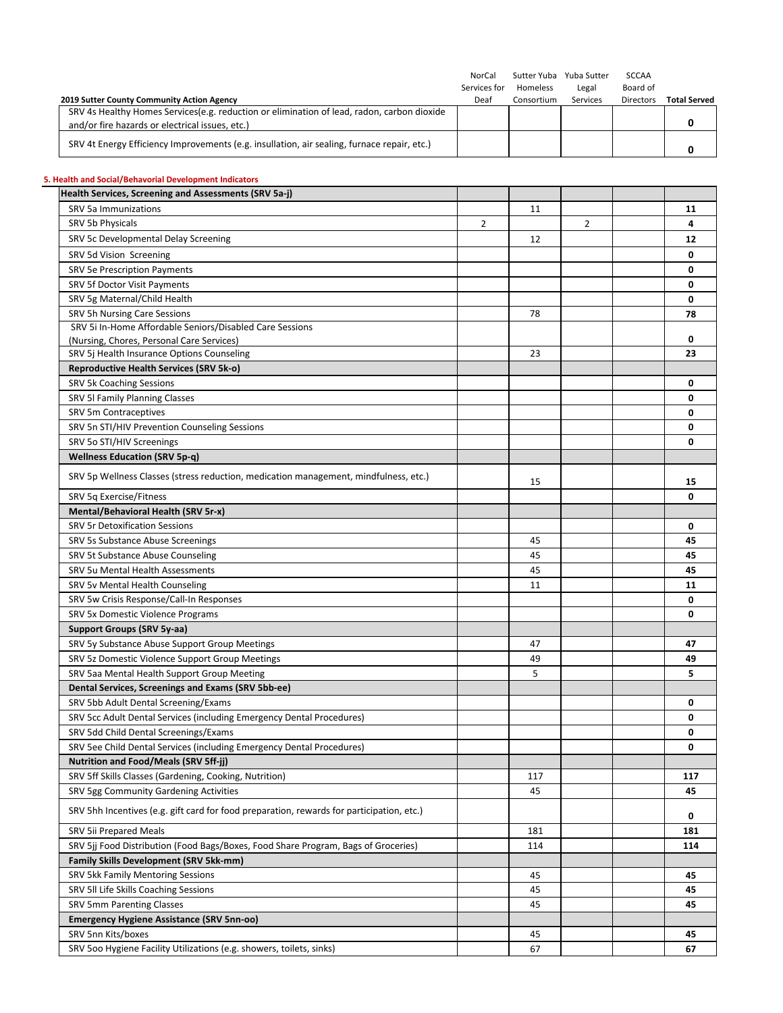|                                                                                                                                          | NorCal<br>Services for | Homeless   | Sutter Yuba Yuba Sutter<br>Legal | <b>SCCAA</b><br>Board of |                     |
|------------------------------------------------------------------------------------------------------------------------------------------|------------------------|------------|----------------------------------|--------------------------|---------------------|
| 2019 Sutter County Community Action Agency<br>SRV 4s Healthy Homes Services(e.g. reduction or elimination of lead, radon, carbon dioxide | Deaf                   | Consortium | Services                         | Directors                | <b>Total Served</b> |
| and/or fire hazards or electrical issues, etc.)                                                                                          |                        |            |                                  |                          | 0                   |
| SRV 4t Energy Efficiency Improvements (e.g. insullation, air sealing, furnace repair, etc.)                                              |                        |            |                                  |                          | 0                   |
| 5. Health and Social/Behavorial Development Indicators                                                                                   |                        |            |                                  |                          |                     |
| Health Services, Screening and Assessments (SRV 5a-j)                                                                                    |                        |            |                                  |                          |                     |
| <b>SRV 5a Immunizations</b>                                                                                                              |                        | 11         |                                  |                          | 11                  |
| SRV 5b Physicals                                                                                                                         | 2                      |            | $\overline{2}$                   |                          | 4                   |
| SRV 5c Developmental Delay Screening                                                                                                     |                        | 12         |                                  |                          | 12                  |
| SRV 5d Vision Screening                                                                                                                  |                        |            |                                  |                          | 0                   |
| <b>SRV 5e Prescription Payments</b>                                                                                                      |                        |            |                                  |                          | 0                   |
| SRV 5f Doctor Visit Payments                                                                                                             |                        |            |                                  |                          | 0                   |
| SRV 5g Maternal/Child Health                                                                                                             |                        |            |                                  |                          | 0                   |
| SRV 5h Nursing Care Sessions                                                                                                             |                        | 78         |                                  |                          | 78                  |
| SRV 5i In-Home Affordable Seniors/Disabled Care Sessions                                                                                 |                        |            |                                  |                          |                     |
| (Nursing, Chores, Personal Care Services)                                                                                                |                        |            |                                  |                          | 0                   |
| SRV 5j Health Insurance Options Counseling                                                                                               |                        | 23         |                                  |                          | 23                  |
| Reproductive Health Services (SRV 5k-o)                                                                                                  |                        |            |                                  |                          |                     |
| SRV 5k Coaching Sessions                                                                                                                 |                        |            |                                  |                          | 0                   |
| SRV 5I Family Planning Classes                                                                                                           |                        |            |                                  |                          | 0                   |
| SRV 5m Contraceptives                                                                                                                    |                        |            |                                  |                          | 0                   |
| SRV 5n STI/HIV Prevention Counseling Sessions                                                                                            |                        |            |                                  |                          | 0                   |
| SRV 5o STI/HIV Screenings                                                                                                                |                        |            |                                  |                          | 0                   |
| <b>Wellness Education (SRV 5p-q)</b>                                                                                                     |                        |            |                                  |                          |                     |
| SRV 5p Wellness Classes (stress reduction, medication management, mindfulness, etc.)                                                     |                        | 15         |                                  |                          | 15                  |
| SRV 5q Exercise/Fitness                                                                                                                  |                        |            |                                  |                          | 0                   |
| Mental/Behavioral Health (SRV 5r-x)                                                                                                      |                        |            |                                  |                          |                     |
| <b>SRV 5r Detoxification Sessions</b>                                                                                                    |                        |            |                                  |                          | 0                   |
| SRV 5s Substance Abuse Screenings                                                                                                        |                        | 45         |                                  |                          | 45                  |
| SRV 5t Substance Abuse Counseling                                                                                                        |                        | 45         |                                  |                          | 45                  |
| SRV 5u Mental Health Assessments                                                                                                         |                        | 45         |                                  |                          | 45                  |
| SRV 5v Mental Health Counseling                                                                                                          |                        | 11         |                                  |                          | 11                  |
| SRV 5w Crisis Response/Call-In Responses                                                                                                 |                        |            |                                  |                          | 0                   |
| SRV 5x Domestic Violence Programs                                                                                                        |                        |            |                                  |                          | 0                   |
| Support Groups (SRV 5y-aa)                                                                                                               |                        |            |                                  |                          |                     |
| SRV 5y Substance Abuse Support Group Meetings                                                                                            |                        |            |                                  |                          |                     |
| SRV 5z Domestic Violence Support Group Meetings                                                                                          |                        | 47<br>49   |                                  |                          | 47<br>49            |
| SRV 5aa Mental Health Support Group Meeting                                                                                              |                        | 5          |                                  |                          | 5                   |
| Dental Services, Screenings and Exams (SRV 5bb-ee)                                                                                       |                        |            |                                  |                          |                     |
| SRV 5bb Adult Dental Screening/Exams                                                                                                     |                        |            |                                  |                          | 0                   |
| SRV 5cc Adult Dental Services (including Emergency Dental Procedures)                                                                    |                        |            |                                  |                          | 0                   |
| SRV 5dd Child Dental Screenings/Exams                                                                                                    |                        |            |                                  |                          | 0                   |
| SRV 5ee Child Dental Services (including Emergency Dental Procedures)                                                                    |                        |            |                                  |                          | 0                   |
|                                                                                                                                          |                        |            |                                  |                          |                     |
| <b>Nutrition and Food/Meals (SRV 5ff-jj)</b>                                                                                             |                        |            |                                  |                          |                     |
| SRV 5ff Skills Classes (Gardening, Cooking, Nutrition)                                                                                   |                        | 117        |                                  |                          | 117                 |
| SRV 5gg Community Gardening Activities                                                                                                   |                        | 45         |                                  |                          | 45                  |
| SRV 5hh Incentives (e.g. gift card for food preparation, rewards for participation, etc.)                                                |                        |            |                                  |                          | 0                   |
| SRV 5ii Prepared Meals                                                                                                                   |                        | 181        |                                  |                          | 181                 |
| SRV 5jj Food Distribution (Food Bags/Boxes, Food Share Program, Bags of Groceries)                                                       |                        | 114        |                                  |                          | 114                 |
| Family Skills Development (SRV 5kk-mm)                                                                                                   |                        |            |                                  |                          |                     |
| SRV 5kk Family Mentoring Sessions                                                                                                        |                        | 45         |                                  |                          | 45                  |
| SRV 5II Life Skills Coaching Sessions                                                                                                    |                        | 45         |                                  |                          | 45                  |
| <b>SRV 5mm Parenting Classes</b>                                                                                                         |                        | 45         |                                  |                          | 45                  |
| <b>Emergency Hygiene Assistance (SRV 5nn-oo)</b>                                                                                         |                        |            |                                  |                          |                     |
| SRV 5nn Kits/boxes                                                                                                                       |                        | 45         |                                  |                          | 45                  |
| SRV 500 Hygiene Facility Utilizations (e.g. showers, toilets, sinks)                                                                     |                        | 67         |                                  |                          | 67                  |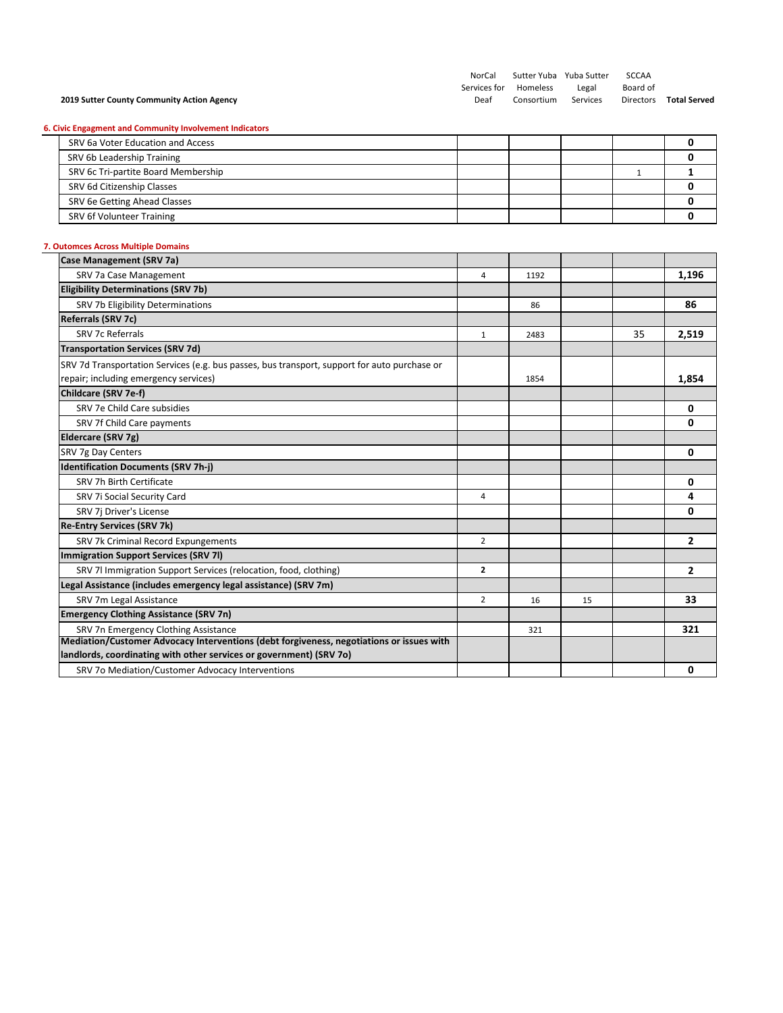#### **2019 Sutter County Community Action Agency**

SCCAA Board of

#### **6. Civic Engagment and Community Involvement Indicators**

| SRV 6a Voter Education and Access   |  |  |  |
|-------------------------------------|--|--|--|
| SRV 6b Leadership Training          |  |  |  |
| SRV 6c Tri-partite Board Membership |  |  |  |
| SRV 6d Citizenship Classes          |  |  |  |
| SRV 6e Getting Ahead Classes        |  |  |  |
| SRV 6f Volunteer Training           |  |  |  |

## **7. Outomces Across Multiple Domains**

| 4              | 1192 |      |    | 1,196          |
|----------------|------|------|----|----------------|
|                |      |      |    |                |
|                | 86   |      |    | 86             |
|                |      |      |    |                |
| $\mathbf{1}$   | 2483 |      | 35 | 2,519          |
|                |      |      |    |                |
|                |      |      |    |                |
|                |      |      |    | 1,854          |
|                |      |      |    |                |
|                |      |      |    | 0              |
|                |      |      |    | 0              |
|                |      |      |    |                |
|                |      |      |    | 0              |
|                |      |      |    |                |
|                |      |      |    | 0              |
| 4              |      |      |    | 4              |
|                |      |      |    | 0              |
|                |      |      |    |                |
| 2              |      |      |    | $\overline{2}$ |
|                |      |      |    |                |
| $\overline{2}$ |      |      |    | $\overline{2}$ |
|                |      |      |    |                |
| 2              | 16   | 15   |    | 33             |
|                |      |      |    |                |
|                | 321  |      |    | 321            |
|                |      |      |    |                |
|                |      |      |    |                |
|                |      |      |    | 0              |
|                |      | 1854 |    |                |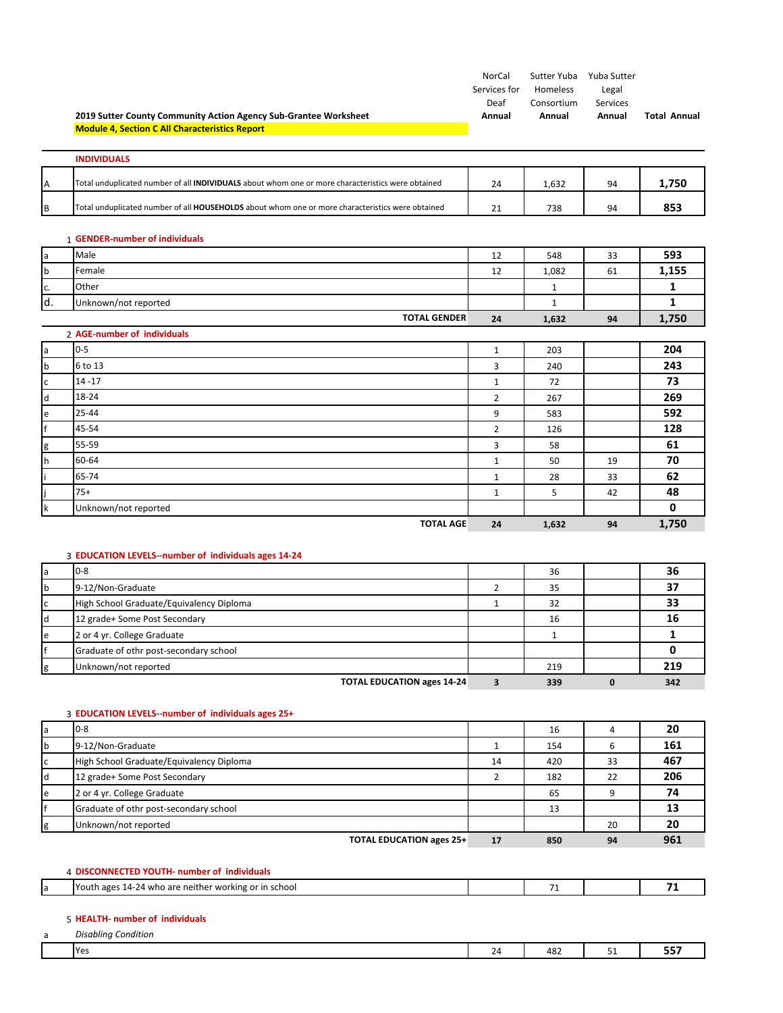|                                   | 2019 Sutter County Community Action Agency Sub-Grantee Worksheet                                  | NorCal<br>Services for<br>Deaf<br>Annual | Homeless<br>Consortium<br>Annual | Sutter Yuba Yuba Sutter<br>Legal<br>Services<br>Annual | <b>Total Annual</b> |
|-----------------------------------|---------------------------------------------------------------------------------------------------|------------------------------------------|----------------------------------|--------------------------------------------------------|---------------------|
|                                   | <b>Module 4, Section C All Characteristics Report</b>                                             |                                          |                                  |                                                        |                     |
|                                   | <b>INDIVIDUALS</b>                                                                                |                                          |                                  |                                                        |                     |
| A                                 | Total unduplicated number of all INDIVIDUALS about whom one or more characteristics were obtained | 24                                       | 1,632                            | 94                                                     | 1,750               |
| B                                 | Total unduplicated number of all HOUSEHOLDS about whom one or more characteristics were obtained  | 21                                       | 738                              | 94                                                     | 853                 |
|                                   | 1 GENDER-number of individuals                                                                    |                                          |                                  |                                                        |                     |
| a                                 | Male                                                                                              | 12                                       | 548                              | 33                                                     | 593                 |
| b                                 | Female                                                                                            | 12                                       | 1,082                            | 61                                                     | 1,155               |
| c.                                | Other                                                                                             |                                          | $\mathbf{1}$                     |                                                        | $\mathbf{1}$        |
| d.                                | Unknown/not reported                                                                              |                                          | $\mathbf{1}$                     |                                                        | $\mathbf{1}$        |
|                                   | <b>TOTAL GENDER</b>                                                                               | 24                                       | 1,632                            | 94                                                     | 1,750               |
|                                   | 2 AGE-number of individuals                                                                       |                                          |                                  |                                                        |                     |
| a                                 | $0 - 5$                                                                                           | $\mathbf{1}$                             | 203                              |                                                        | 204                 |
| $\mathsf b$                       | 6 to 13                                                                                           | 3                                        | 240                              |                                                        | 243                 |
| $\mathsf{C}$                      | $14 - 17$                                                                                         | $\mathbf{1}$                             | 72                               |                                                        | 73                  |
| $\mathsf{d}$                      | 18-24                                                                                             | $\overline{2}$                           | 267                              |                                                        | 269                 |
| $\mathsf{e}% _{t}\left( t\right)$ | $25 - 44$                                                                                         | 9                                        | 583                              |                                                        | 592                 |
| f                                 | 45-54                                                                                             | $\overline{2}$                           | 126                              |                                                        | 128                 |
| g                                 | 55-59                                                                                             | 3                                        | 58                               |                                                        | 61                  |
| h                                 | 60-64                                                                                             | $\mathbf{1}$                             | 50                               | 19                                                     | 70                  |
|                                   | 65-74                                                                                             | $\mathbf{1}$                             | 28                               | 33                                                     | 62                  |
|                                   | $75+$                                                                                             | $\mathbf{1}$                             | 5                                | 42                                                     | 48                  |
| k                                 | Unknown/not reported                                                                              |                                          |                                  |                                                        | 0                   |
|                                   | <b>TOTAL AGE</b>                                                                                  | 24                                       | 1,632                            | 94                                                     | 1,750               |
|                                   | 3 EDUCATION LEVELS--number of individuals ages 14-24                                              |                                          |                                  |                                                        |                     |
| a                                 | $0 - 8$                                                                                           |                                          | 36                               |                                                        | 36                  |
| $\mathbf b$                       | 9-12/Non-Graduate                                                                                 | $\overline{2}$                           | 35                               |                                                        | 37                  |
| $\mathsf c$                       | High School Graduate/Equivalency Diploma                                                          | $\mathbf{1}$                             | 32                               |                                                        | 33                  |
| d                                 | 12 grade+ Some Post Secondary                                                                     |                                          | 16                               |                                                        | 16                  |
| e                                 | 2 or 4 yr. College Graduate                                                                       |                                          | $\mathbf{1}$                     |                                                        | $\mathbf{1}$        |
| f                                 | Graduate of othr post-secondary school                                                            |                                          |                                  |                                                        | 0                   |
| g                                 | Unknown/not reported                                                                              |                                          | 219                              |                                                        | 219                 |
|                                   | <b>TOTAL EDUCATION ages 14-24</b>                                                                 | $\overline{\mathbf{3}}$                  | 339                              | $\mathbf{0}$                                           | 342                 |

a 0‐8 16 4 **20** b 9-12/Non-Graduate 1 154 5 161 High School Graduate/Equivalency Diploma 14 14 420 33 467 d 12 grade+ Some Post Secondary 2 2 182 22 206 e 2 or 4 yr. College Graduate 65 9 **74 Graduate of othr post-secondary school** 13 **13** 13 Unknown/not reported 20 **20 20 20 TOTAL EDUCATION ages 25+ 17 850 94 961**

# 4 **DISCONNECTED YOUTH‐ number of individuals** a Youth ages 14‐24 who are neither working or in school 71 71 71 71 71

#### 5 **HEALTH‐ number of individuals**

3 **EDUCATION LEVELS‐‐number of individuals ages 25+**

| -<br>a | Disablina<br>$\cdots$<br>condition |                   |                        |            |     |
|--------|------------------------------------|-------------------|------------------------|------------|-----|
|        | <b>Yes</b>                         | $\sim$<br>74<br>- | $\overline{10}$<br>⊾ە+ | <u>. .</u> | --- |
|        |                                    |                   |                        |            |     |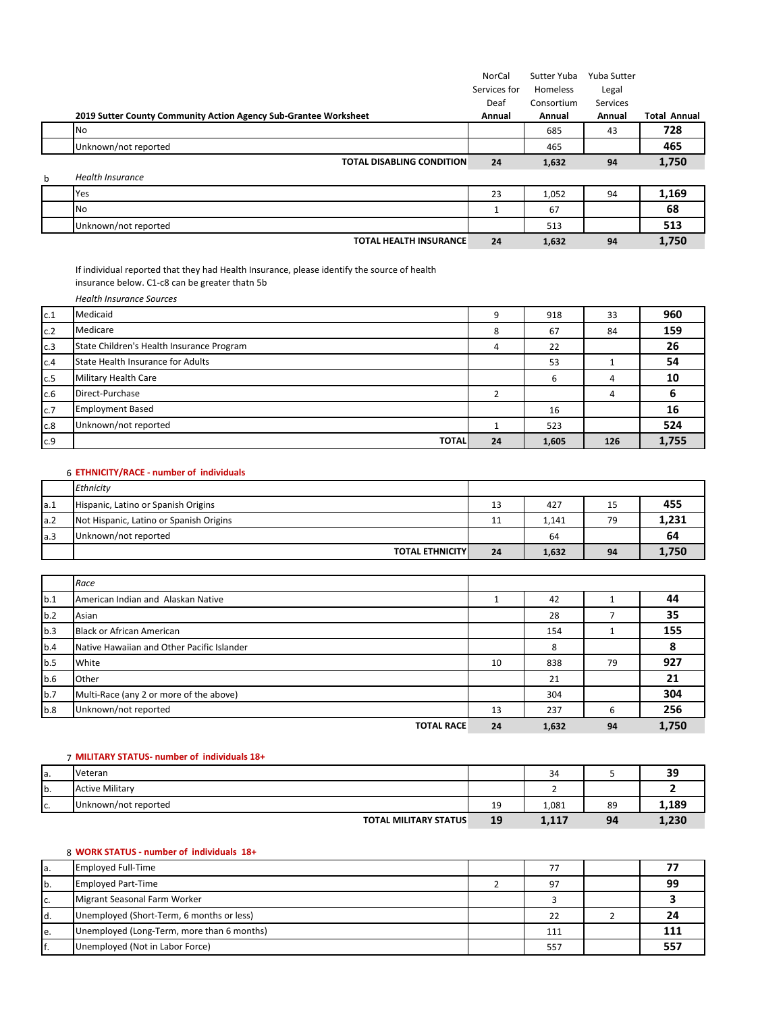|   |                                                                  | NorCal       | Sutter Yuba | Yuba Sutter |                     |
|---|------------------------------------------------------------------|--------------|-------------|-------------|---------------------|
|   |                                                                  | Services for | Homeless    | Legal       |                     |
|   |                                                                  | Deaf         | Consortium  | Services    |                     |
|   | 2019 Sutter County Community Action Agency Sub-Grantee Worksheet | Annual       | Annual      | Annual      | <b>Total Annual</b> |
|   | <b>No</b>                                                        |              | 685         | 43          | 728                 |
|   | Unknown/not reported                                             |              | 465         |             | 465                 |
|   | <b>TOTAL DISABLING CONDITION</b>                                 | 24           | 1,632       | 94          | 1,750               |
| b | <b>Health Insurance</b>                                          |              |             |             |                     |
|   | Yes                                                              | 23           | 1,052       | 94          | 1,169               |
|   | No.                                                              |              | 67          |             | 68                  |
|   | Unknown/not reported                                             |              | 513         |             | 513                 |
|   | <b>TOTAL HEALTH INSURANCE</b>                                    | 24           | 1,632       | 94          | 1,750               |

If individual reported that they had Health Insurance, please identify the source of health insurance below. C1‐c8 can be greater thatn 5b

*Health Insurance Sources*

| c.1 | Medicaid                                  |    | 918   | 33  | 960   |
|-----|-------------------------------------------|----|-------|-----|-------|
| c.2 | Medicare                                  | 8  | 67    | 84  | 159   |
| c.3 | State Children's Health Insurance Program |    | 22    |     | 26    |
| c.4 | State Health Insurance for Adults         |    | 53    |     | 54    |
| c.5 | Military Health Care                      |    | 6     | 4   | 10    |
| c.6 | Direct-Purchase                           |    |       |     |       |
| c.7 | <b>Employment Based</b>                   |    | 16    |     | 16    |
| c.8 | Unknown/not reported                      |    | 523   |     | 524   |
| c.9 | <b>TOTAL</b>                              | 24 | 1,605 | 126 | 1,755 |

#### 6 **ETHNICITY/RACE ‐ number of individuals**

|     | Ethnicity                               |    |       |    |       |
|-----|-----------------------------------------|----|-------|----|-------|
| a.1 | Hispanic, Latino or Spanish Origins     | 13 | 427   | 15 | 455   |
| a.2 | Not Hispanic, Latino or Spanish Origins | 11 | 1,141 | 79 | 1,231 |
| a.3 | Unknown/not reported                    |    | 64    |    | 64    |
|     | <b>TOTAL ETHNICITY</b>                  | 24 | 1,632 | 94 | 1,750 |

|     | Race                                       |    |       |    |       |
|-----|--------------------------------------------|----|-------|----|-------|
| b.1 | American Indian and Alaskan Native         |    | 42    |    | 44    |
| b.2 | Asian                                      |    | 28    |    | 35    |
| b.3 | <b>Black or African American</b>           |    | 154   |    | 155   |
| b.4 | Native Hawaiian and Other Pacific Islander |    | 8     |    | 8     |
| b.5 | White                                      | 10 | 838   | 79 | 927   |
| b.6 | Other                                      |    | 21    |    | 21    |
| b.7 | Multi-Race (any 2 or more of the above)    |    | 304   |    | 304   |
| b.8 | Unknown/not reported                       | 13 | 237   | 6  | 256   |
|     | <b>TOTAL RACE</b>                          | 24 | 1,632 | 94 | 1,750 |

#### 7 **MILITARY STATUS‐ number of individuals 18+**

| la. | Veteran                      |          | 34    |    | ລດ<br>-- |
|-----|------------------------------|----------|-------|----|----------|
| b.  | <b>Active Military</b>       |          |       |    |          |
| C.  | Unknown/not reported         | 10<br>-- | 1,081 | 89 | 1.189    |
|     | <b>TOTAL MILITARY STATUS</b> | 19       | 1,117 | 94 | 1,230    |

## 8 **WORK STATUS ‐ number of individuals 18+**

| Ia. | <b>Employed Full-Time</b>                  |     |     |
|-----|--------------------------------------------|-----|-----|
| Ib. | <b>Employed Part-Time</b>                  | 97  | 99  |
| IC. | Migrant Seasonal Farm Worker               |     |     |
| Id. | Unemployed (Short-Term, 6 months or less)  | 22  |     |
| le. | Unemployed (Long-Term, more than 6 months) | 111 |     |
| lf. | Unemployed (Not in Labor Force)            | 557 | 557 |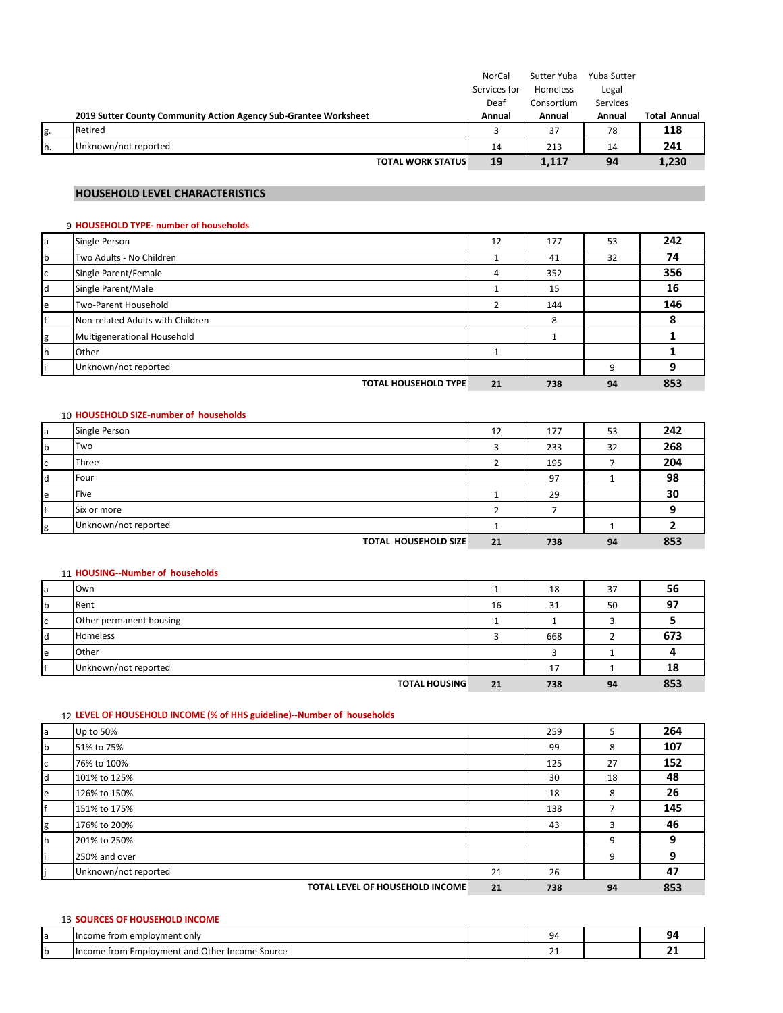|     |                                                                  | NorCal       | Sutter Yuba | Yuba Sutter |                     |
|-----|------------------------------------------------------------------|--------------|-------------|-------------|---------------------|
|     |                                                                  | Services for | Homeless    | Legal       |                     |
|     |                                                                  | Deaf         | Consortium  | Services    |                     |
|     | 2019 Sutter County Community Action Agency Sub-Grantee Worksheet | Annual       | Annual      | Annual      | <b>Total Annual</b> |
| g.  | Retired                                                          |              | 37          | 78          | 118                 |
| Ih. | Unknown/not reported                                             | 14           | 213         | 14          | 241                 |
|     | <b>TOTAL WORK STATUS</b>                                         | 19           | 1,117       | 94          | 1,230               |

## **HOUSEHOLD LEVEL CHARACTERISTICS**

## 9 **HOUSEHOLD TYPE‐ number of households**

| a | Single Person                    | 12 | 177 | 53 | 242 |
|---|----------------------------------|----|-----|----|-----|
| b | Two Adults - No Children         |    | 41  | 32 | 74  |
| c | Single Parent/Female             | 4  | 352 |    | 356 |
|   | Single Parent/Male               |    | 15  |    | 16  |
| e | Two-Parent Household             |    | 144 |    | 146 |
|   | Non-related Adults with Children |    | 8   |    |     |
| g | Multigenerational Household      |    |     |    |     |
|   | Other                            |    |     |    |     |
|   | Unknown/not reported             |    |     | 9  |     |
|   | <b>TOTAL HOUSEHOLD TYPE</b>      | 21 | 738 | 94 | 853 |

#### 10 **HOUSEHOLD SIZE‐number of households**

| a | Single Person               | 12 | 177 | 53 | 242 |
|---|-----------------------------|----|-----|----|-----|
| b | Two                         |    | 233 | 32 | 268 |
| C | Three                       |    | 195 |    | 204 |
| α | <b>IFour</b>                |    | 97  |    | 98  |
| e | Five                        |    | 29  |    | 30  |
|   | Six or more                 |    |     |    |     |
| σ | Unknown/not reported        |    |     |    |     |
|   | <b>TOTAL HOUSEHOLD SIZE</b> | 21 | 738 | 94 | 853 |

#### 11 **HOUSING‐‐Number of households**

| a   | Own                     |    | 18  | 37 | 56  |
|-----|-------------------------|----|-----|----|-----|
| b   | Rent                    | 16 | 31  | 50 | 97  |
| ГC  | Other permanent housing |    |     |    |     |
| ld. | <b>Homeless</b>         |    | 668 |    | 673 |
| e   | Other                   |    |     |    |     |
|     | Unknown/not reported    |    | 17  |    | 18  |
|     | <b>TOTAL HOUSING</b>    | 21 | 738 | 94 | 853 |

#### 12 **LEVEL OF HOUSEHOLD INCOME (% of HHS guideline)‐‐Number of households**

| a   | Up to 50%                       |    | 259 | 5  | 264 |
|-----|---------------------------------|----|-----|----|-----|
| b   | 51% to 75%                      |    | 99  | 8  | 107 |
| C   | 76% to 100%                     |    | 125 | 27 | 152 |
| ld. | 101% to 125%                    |    | 30  | 18 | 48  |
| e   | 126% to 150%                    |    | 18  | 8  | 26  |
|     | 151% to 175%                    |    | 138 |    | 145 |
| g   | 176% to 200%                    |    | 43  | 3  | 46  |
| rh. | 201% to 250%                    |    |     | 9  | q   |
|     | 250% and over                   |    |     | 9  | 9   |
|     | Unknown/not reported            | 21 | 26  |    | 47  |
|     | TOTAL LEVEL OF HOUSEHOLD INCOME | 21 | 738 | 94 | 853 |

| <b>SOURCES OF HOUSEHOLD INCOME</b>             |                |    |
|------------------------------------------------|----------------|----|
| Hncome from employment only                    | 94             | 94 |
| Income from Employment and Other Income Source | ∼.<br><u>_</u> |    |